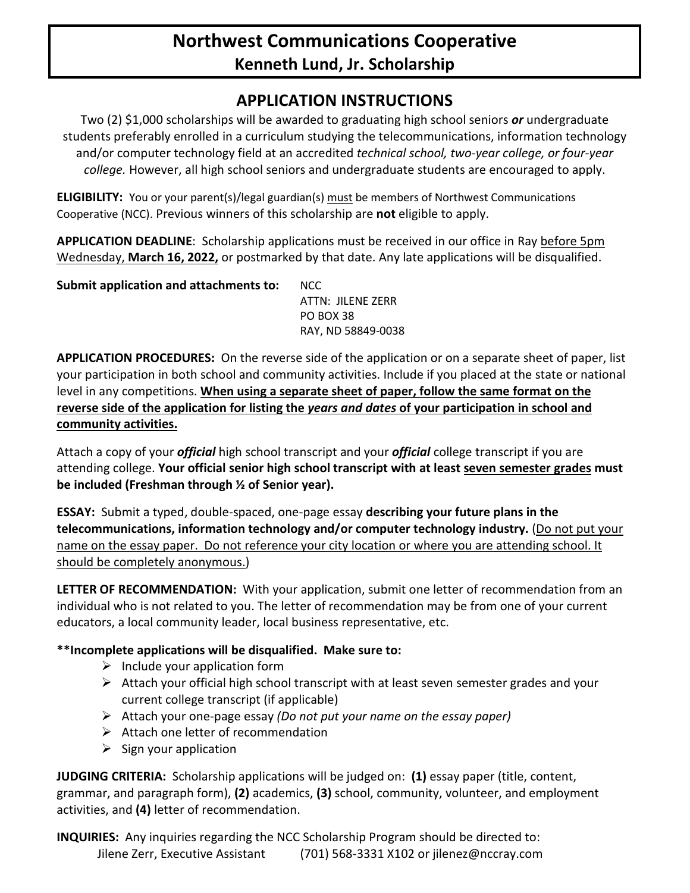## **Northwest Communications Cooperative Kenneth Lund, Jr. Scholarship**

### **APPLICATION INSTRUCTIONS**

Two (2) \$1,000 scholarships will be awarded to graduating high school seniors *or* undergraduate students preferably enrolled in a curriculum studying the telecommunications, information technology and/or computer technology field at an accredited *technical school, two-year college, or four-year college.* However, all high school seniors and undergraduate students are encouraged to apply.

**ELIGIBILITY:** You or your parent(s)/legal guardian(s) must be members of Northwest Communications Cooperative (NCC). Previous winners of this scholarship are **not** eligible to apply.

**APPLICATION DEADLINE**: Scholarship applications must be received in our office in Ray before 5pm Wednesday, **March 16, 2022,** or postmarked by that date. Any late applications will be disqualified.

**Submit application and attachments to:** NCC ATTN: JILENE ZERR PO BOX 38 RAY, ND 58849-0038

**APPLICATION PROCEDURES:** On the reverse side of the application or on a separate sheet of paper, list your participation in both school and community activities. Include if you placed at the state or national level in any competitions. **When using a separate sheet of paper, follow the same format on the reverse side of the application for listing the** *years and dates* **of your participation in school and community activities.**

Attach a copy of your *official* high school transcript and your *official* college transcript if you are attending college. **Your official senior high school transcript with at least seven semester grades must be included (Freshman through ½ of Senior year).** 

**ESSAY:** Submit a typed, double-spaced, one-page essay **describing your future plans in the telecommunications, information technology and/or computer technology industry.** (Do not put your name on the essay paper. Do not reference your city location or where you are attending school. It should be completely anonymous.)

**LETTER OF RECOMMENDATION:** With your application, submit one letter of recommendation from an individual who is not related to you. The letter of recommendation may be from one of your current educators, a local community leader, local business representative, etc.

### **\*\*Incomplete applications will be disqualified. Make sure to:**

- $\triangleright$  Include your application form
- $\triangleright$  Attach your official high school transcript with at least seven semester grades and your current college transcript (if applicable)
- Attach your one-page essay *(Do not put your name on the essay paper)*
- $\triangleright$  Attach one letter of recommendation
- $\triangleright$  Sign your application

**JUDGING CRITERIA:** Scholarship applications will be judged on: **(1)** essay paper (title, content, grammar, and paragraph form), **(2)** academics, **(3)** school, community, volunteer, and employment activities, and **(4)** letter of recommendation.

**INQUIRIES:** Any inquiries regarding the NCC Scholarship Program should be directed to: Jilene Zerr, Executive Assistant (701) 568-3331 X102 or jilenez@nccray.com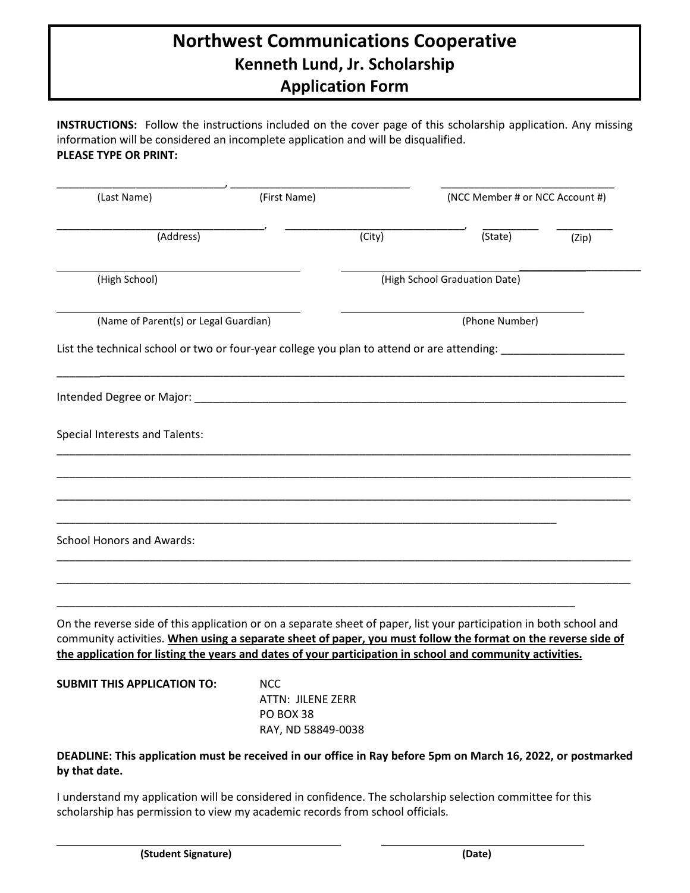# **Northwest Communications Cooperative Kenneth Lund, Jr. Scholarship Application Form**

**INSTRUCTIONS:** Follow the instructions included on the cover page of this scholarship application. Any missing information will be considered an incomplete application and will be disqualified. **PLEASE TYPE OR PRINT:**

| (Last Name)                                                                                                                                                                                                                                                                                                                                       | (First Name)                   |        | (NCC Member # or NCC Account #) |       |  |
|---------------------------------------------------------------------------------------------------------------------------------------------------------------------------------------------------------------------------------------------------------------------------------------------------------------------------------------------------|--------------------------------|--------|---------------------------------|-------|--|
| (Address)                                                                                                                                                                                                                                                                                                                                         |                                | (City) | (State)                         | (Zip) |  |
| (High School)                                                                                                                                                                                                                                                                                                                                     |                                |        | (High School Graduation Date)   |       |  |
| (Name of Parent(s) or Legal Guardian)                                                                                                                                                                                                                                                                                                             |                                |        | (Phone Number)                  |       |  |
| List the technical school or two or four-year college you plan to attend or are attending: ________                                                                                                                                                                                                                                               |                                |        |                                 |       |  |
| Intended Degree or Major:                                                                                                                                                                                                                                                                                                                         |                                |        |                                 |       |  |
| <b>Special Interests and Talents:</b>                                                                                                                                                                                                                                                                                                             |                                |        |                                 |       |  |
|                                                                                                                                                                                                                                                                                                                                                   |                                |        |                                 |       |  |
|                                                                                                                                                                                                                                                                                                                                                   |                                |        |                                 |       |  |
| <b>School Honors and Awards:</b>                                                                                                                                                                                                                                                                                                                  |                                |        |                                 |       |  |
|                                                                                                                                                                                                                                                                                                                                                   |                                |        |                                 |       |  |
|                                                                                                                                                                                                                                                                                                                                                   |                                |        |                                 |       |  |
| On the reverse side of this application or on a separate sheet of paper, list your participation in both school and<br>community activities. When using a separate sheet of paper, you must follow the format on the reverse side of<br>the application for listing the years and dates of your participation in school and community activities. |                                |        |                                 |       |  |
| <b>SUBMIT THIS APPLICATION TO:</b>                                                                                                                                                                                                                                                                                                                | <b>NCC</b>                     |        |                                 |       |  |
|                                                                                                                                                                                                                                                                                                                                                   | ATTN: JILENE ZERR<br>PO BOX 38 |        |                                 |       |  |
|                                                                                                                                                                                                                                                                                                                                                   | RAY, ND 58849-0038             |        |                                 |       |  |

#### **DEADLINE: This application must be received in our office in Ray before 5pm on March 16, 2022, or postmarked by that date.**

I understand my application will be considered in confidence. The scholarship selection committee for this scholarship has permission to view my academic records from school officials.